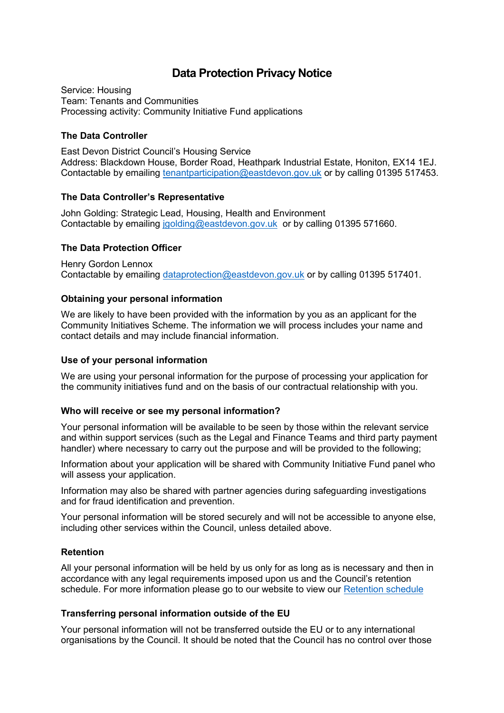# **Data Protection Privacy Notice**

Service: Housing Team: Tenants and Communities Processing activity: Community Initiative Fund applications

## **The Data Controller**

East Devon District Council's Housing Service Address: Blackdown House, Border Road, Heathpark Industrial Estate, Honiton, EX14 1EJ. Contactable by emailing [tenantparticipation@eastdevon.gov.uk](mailto:tenantparticipation@eastdevon.gov.uk) or by calling 01395 517453.

## **The Data Controller's Representative**

John Golding: Strategic Lead, Housing, Health and Environment Contactable by emailing [jgolding@eastdevon.gov.uk](mailto:jgolding@eastdevon.gov.uk) or by calling 01395 571660.

## **The Data Protection Officer**

Henry Gordon Lennox Contactable by emailing [dataprotection@eastdevon.gov.uk](mailto:dataprotection@eastdevon.gov.uk) or by calling 01395 517401.

## **Obtaining your personal information**

We are likely to have been provided with the information by you as an applicant for the Community Initiatives Scheme. The information we will process includes your name and contact details and may include financial information.

### **Use of your personal information**

We are using your personal information for the purpose of processing your application for the community initiatives fund and on the basis of our contractual relationship with you.

### **Who will receive or see my personal information?**

Your personal information will be available to be seen by those within the relevant service and within support services (such as the Legal and Finance Teams and third party payment handler) where necessary to carry out the purpose and will be provided to the following;

Information about your application will be shared with Community Initiative Fund panel who will assess your application.

Information may also be shared with partner agencies during safeguarding investigations and for fraud identification and prevention.

Your personal information will be stored securely and will not be accessible to anyone else, including other services within the Council, unless detailed above.

### **Retention**

All your personal information will be held by us only for as long as is necessary and then in accordance with any legal requirements imposed upon us and the Council's retention schedule. For more information please go to our website to view our [Retention schedule](http://eastdevon.gov.uk/access-to-information/data-protection/document-retention-schedules/)

### **Transferring personal information outside of the EU**

Your personal information will not be transferred outside the EU or to any international organisations by the Council. It should be noted that the Council has no control over those